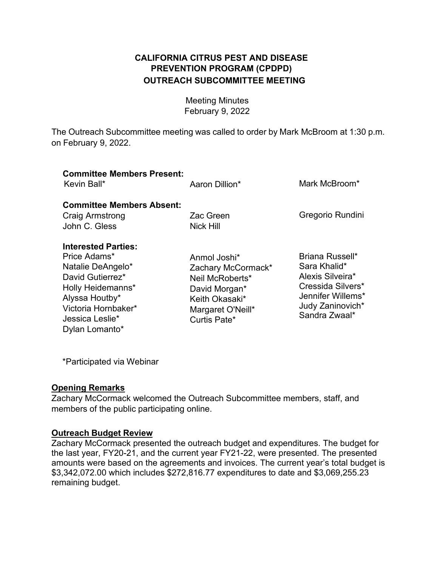# **OUTREACH SUBCOMMITTEE MEETING CALIFORNIA CITRUS PEST AND DISEASE PREVENTION PROGRAM (CPDPD)**

 Meeting Minutes February 9, 2022

 The Outreach Subcommittee meeting was called to order by Mark McBroom at 1:30 p.m. on February 9, 2022.

| <b>Committee Members Present:</b><br>Kevin Ball*                                                                                                                                              | Aaron Dillion*                                                                                                                | Mark McBroom*                                                                                                                      |
|-----------------------------------------------------------------------------------------------------------------------------------------------------------------------------------------------|-------------------------------------------------------------------------------------------------------------------------------|------------------------------------------------------------------------------------------------------------------------------------|
| <b>Committee Members Absent:</b><br><b>Craig Armstrong</b><br>John C. Gless                                                                                                                   | Zac Green<br>Nick Hill                                                                                                        | Gregorio Rundini                                                                                                                   |
| <b>Interested Parties:</b><br>Price Adams*<br>Natalie DeAngelo*<br>David Gutierrez*<br><b>Holly Heidemanns*</b><br>Alyssa Houtby*<br>Victoria Hornbaker*<br>Jessica Leslie*<br>Dylan Lomanto* | Anmol Joshi*<br>Zachary McCormack*<br>Neil McRoberts*<br>David Morgan*<br>Keith Okasaki*<br>Margaret O'Neill*<br>Curtis Pate* | Briana Russell*<br>Sara Khalid*<br>Alexis Silveira*<br>Cressida Silvers*<br>Jennifer Willems*<br>Judy Zaninovich*<br>Sandra Zwaal* |

\*Participated via Webinar

#### **Opening Remarks**

 Zachary McCormack welcomed the Outreach Subcommittee members, staff, and members of the public participating online.

## **Outreach Budget Review**

Zachary McCormack presented the outreach budget and expenditures. The budget for the last year, FY20-21, and the current year FY21-22, were presented. The presented amounts were based on the agreements and invoices. The current year's total budget is \$[3,342,072.00](https://3,342,072.00) which includes [\\$272,816.77](https://272,816.77) expenditures to date and \$[3,069,255.23](https://3,069,255.23)  remaining budget.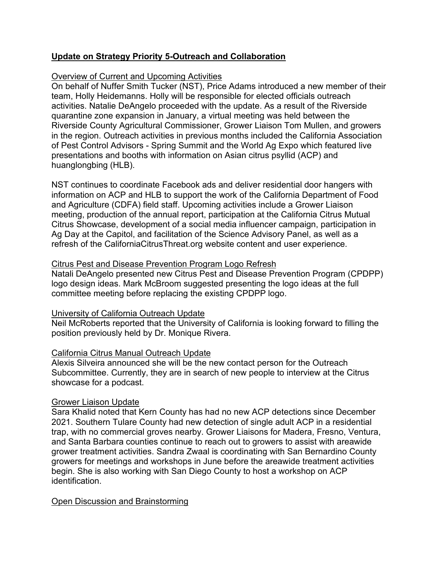# **Update on Strategy Priority 5-Outreach and Collaboration**

### Overview of Current and Upcoming Activities

 activities. Natalie DeAngelo proceeded with the update. As a result of the Riverside of Pest Control Advisors - Spring Summit and the World Ag Expo which featured live presentations and booths with information on Asian citrus psyllid (ACP) and On behalf of Nuffer Smith Tucker (NST), Price Adams introduced a new member of their team, Holly Heidemanns. Holly will be responsible for elected officials outreach quarantine zone expansion in January, a virtual meeting was held between the Riverside County Agricultural Commissioner, Grower Liaison Tom Mullen, and growers in the region. Outreach activities in previous months included the California Association huanglongbing (HLB).

 information on ACP and HLB to support the work of the California Department of Food and Agriculture (CDFA) field staff. Upcoming activities include a Grower Liaison meeting, production of the annual report, participation at the California Citrus Mutual refresh of the [CaliforniaCitrusThreat.org](https://CaliforniaCitrusThreat.org) website content and user experience. NST continues to coordinate Facebook ads and deliver residential door hangers with Citrus Showcase, development of a social media influencer campaign, participation in Ag Day at the Capitol, and facilitation of the Science Advisory Panel, as well as a

### Citrus Pest and Disease Prevention Program Logo Refresh

 Natali DeAngelo presented new Citrus Pest and Disease Prevention Program (CPDPP) logo design ideas. Mark McBroom suggested presenting the logo ideas at the full committee meeting before replacing the existing CPDPP logo.

## University of California Outreach Update

Neil McRoberts reported that the University of California is looking forward to filling the

# position previously held by Dr. Monique Rivera.<br><u>California Citrus Manual Outreach Update</u>

 Subcommittee. Currently, they are in search of new people to interview at the Citrus Alexis Silveira announced she will be the new contact person for the Outreach showcase for a podcast.

#### Grower Liaison Update

 and Santa Barbara counties continue to reach out to growers to assist with areawide Sara Khalid noted that Kern County has had no new ACP detections since December 2021. Southern Tulare County had new detection of single adult ACP in a residential trap, with no commercial groves nearby. Grower Liaisons for Madera, Fresno, Ventura, grower treatment activities. Sandra Zwaal is coordinating with San Bernardino County growers for meetings and workshops in June before the areawide treatment activities begin. She is also working with San Diego County to host a workshop on ACP identification.

#### Open Discussion and Brainstorming